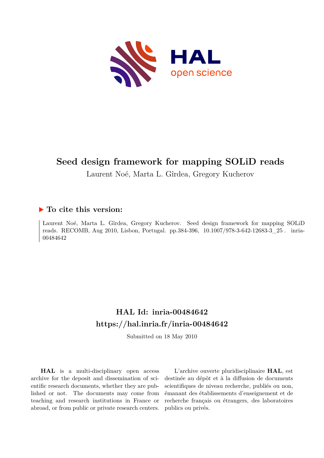

# **Seed design framework for mapping SOLiD reads**

Laurent Noé, Marta L. Gîrdea, Gregory Kucherov

## **To cite this version:**

Laurent Noé, Marta L. Gîrdea, Gregory Kucherov. Seed design framework for mapping SOLiD reads. RECOMB, Aug 2010, Lisbon, Portugal. pp.384-396, 10.1007/978-3-642-12683-3 25. inria-00484642

# **HAL Id: inria-00484642 <https://hal.inria.fr/inria-00484642>**

Submitted on 18 May 2010

**HAL** is a multi-disciplinary open access archive for the deposit and dissemination of scientific research documents, whether they are published or not. The documents may come from teaching and research institutions in France or abroad, or from public or private research centers.

L'archive ouverte pluridisciplinaire **HAL**, est destinée au dépôt et à la diffusion de documents scientifiques de niveau recherche, publiés ou non, émanant des établissements d'enseignement et de recherche français ou étrangers, des laboratoires publics ou privés.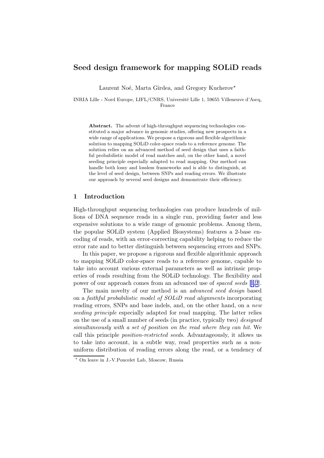### Seed design framework for mapping SOLiD reads

Laurent Noé, Marta Gîrdea, and Gregory Kucherov<sup>\*</sup>

INRIA Lille - Nord Europe, LIFL/CNRS, Université Lille 1, 59655 Villeneuve d'Ascq, France

Abstract. The advent of high-throughput sequencing technologies constituted a major advance in genomic studies, offering new prospects in a wide range of applications. We propose a rigorous and flexible algorithmic solution to mapping SOLiD color-space reads to a reference genome. The solution relies on an advanced method of seed design that uses a faithful probabilistic model of read matches and, on the other hand, a novel seeding principle especially adapted to read mapping. Our method can handle both lossy and lossless frameworks and is able to distinguish, at the level of seed design, between SNPs and reading errors. We illustrate our approach by several seed designs and demonstrate their efficiency.

#### 1 Introduction

High-throughput sequencing technologies can produce hundreds of millions of DNA sequence reads in a single run, providing faster and less expensive solutions to a wide range of genomic problems. Among them, the popular SOLiD system (Applied Biosystems) features a 2-base encoding of reads, with an error-correcting capability helping to reduce the error rate and to better distinguish between sequencing errors and SNPs.

In this paper, we propose a rigorous and flexible algorithmic approach to mapping SOLiD color-space reads to a reference genome, capable to take into account various external parameters as well as intrinsic properties of reads resulting from the SOLiD technology. The flexibility and power of our approach comes from an advanced use of spaced seeds [[1,2](#page-14-0)].

The main novelty of our method is an advanced seed design based on a faithful probabilistic model of SOLiD read alignments incorporating reading errors, SNPs and base indels, and, on the other hand, on a new seeding principle especially adapted for read mapping. The latter relies on the use of a small number of seeds (in practice, typically two) designed simultaneously with a set of position on the read where they can hit. We call this principle position-restricted seeds. Advantageously, it allows us to take into account, in a subtle way, read properties such as a nonuniform distribution of reading errors along the read, or a tendency of

<sup>⋆</sup> On leave in J.-V.Poncelet Lab, Moscow, Russia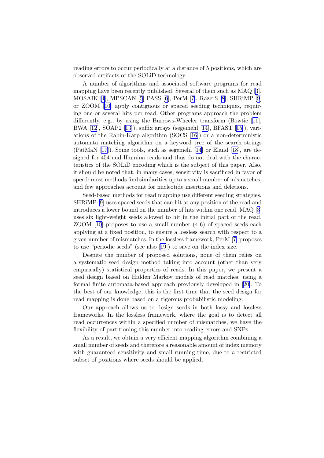reading errors to occur periodically at a distance of 5 positions, which are observed artifacts of the SOLiD technology.

A number of algorithms and associated software programs for read mapping have been recently published. Several of them such as MAQ [\[3](#page-14-0)], MOSAIK[[4](#page-14-0)], MPSCAN[[5](#page-14-0)] PASS[[6](#page-14-0)], PerM [\[7\]](#page-14-0), RazerS [\[8](#page-14-0)], SHRiMP [\[9](#page-14-0)] or ZOOM[[10\]](#page-14-0) apply contiguous or spaced seeding techniques, requiring one or several hits per read. Other programs approach the problem differently, e.g., by using the Burrows-Wheeler transform (Bowtie[[11](#page-14-0)], BWA [\[12](#page-14-0)], SOAP2 [\[13](#page-14-0)]), suffix arrays (segemehl[[14\]](#page-14-0), BFAST [\[15\]](#page-14-0)), variations of the Rabin-Karp algorithm (SOCS [\[16](#page-14-0)]) or a non-deterministic automata matching algorithm on a keyword tree of the search strings (PatMaN [\[17](#page-15-0)]). Some tools, such as segemehl[[14](#page-14-0)] or Eland [\[18](#page-15-0)], are designed for 454 and Illumina reads and thus do not deal with the characteristics of the SOLiD encoding which is the subject of this paper. Also, it should be noted that, in many cases, sensitivity is sacrificed in favor of speed: most methods find similarities up to a small number of mismatches, and few approaches account for nucleotide insertions and deletions.

Seed-based methods for read mapping use different seeding strategies. SHRiMP [\[9\]](#page-14-0) uses spaced seeds that can hit at any position of the read and introduces a lower bound on the number of hits within one read. MAQ [\[3](#page-14-0)] uses six light-weight seeds allowed to hit in the initial part of the read. ZOOM[[10\]](#page-14-0) proposes to use a small number (4-6) of spaced seeds each applying at a fixed position, to ensure a lossless search with respect to a given number of mismatches. In the lossless framework, PerM [\[7\]](#page-14-0) proposes to use "periodic seeds" (see also [\[19](#page-15-0)]) to save on the index size.

Despite the number of proposed solutions, none of them relies on a systematic seed design method taking into account (other than very empirically) statistical properties of reads. In this paper, we present a seed design based on Hidden Markov models of read matches, using a formal finite automata-based approach previously developed in[[20\]](#page-15-0). To the best of our knowledge, this is the first time that the seed design for read mapping is done based on a rigorous probabilistic modeling.

Our approach allows us to design seeds in both lossy and lossless frameworks. In the lossless framework, where the goal is to detect all read occurrences within a specified number of mismatches, we have the flexibility of partitioning this number into reading errors and SNPs.

As a result, we obtain a very efficient mapping algorithm combining a small number of seeds and therefore a reasonable amount of index memory with guaranteed sensitivity and small running time, due to a restricted subset of positions where seeds should be applied.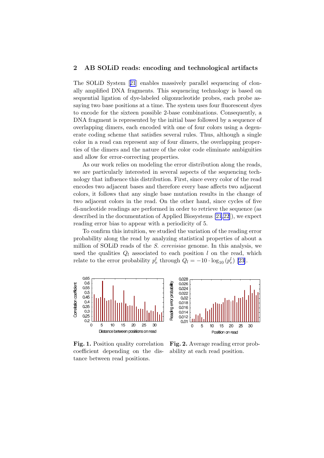### <span id="page-3-0"></span>2 AB SOLiD reads: encoding and technological artifacts

The SOLiD System[[21](#page-15-0)] enables massively parallel sequencing of clonally amplified DNA fragments. This sequencing technology is based on sequential ligation of dye-labeled oligonucleotide probes, each probe assaying two base positions at a time. The system uses four fluorescent dyes to encode for the sixteen possible 2-base combinations. Consequently, a DNA fragment is represented by the initial base followed by a sequence of overlapping dimers, each encoded with one of four colors using a degenerate coding scheme that satisfies several rules. Thus, although a single color in a read can represent any of four dimers, the overlapping properties of the dimers and the nature of the color code eliminate ambiguities and allow for error-correcting properties.

As our work relies on modeling the error distribution along the reads, we are particularly interested in several aspects of the sequencing technology that influence this distribution. First, since every color of the read encodes two adjacent bases and therefore every base affects two adjacent colors, it follows that any single base mutation results in the change of two adjacent colors in the read. On the other hand, since cycles of five di-nucleotide readings are performed in order to retrieve the sequence (as described in the documentation of Applied Biosystems [\[21,22](#page-15-0)]), we expect reading error bias to appear with a periodicity of 5.

To confirm this intuition, we studied the variation of the reading error probability along the read by analyzing statistical properties of about a million of SOLiD reads of the S. cerevisiae genome. In this analysis, we used the qualities  $Q_l$  associated to each position l on the read, which relate to the error probability  $p_e^l$  through  $Q_l = -10 \cdot \log_{10} (p_e^l)$  [\[23\]](#page-15-0).



Fig. 1. Position quality correlation coefficient depending on the distance between read positions.

Fig. 2. Average reading error probability at each read position.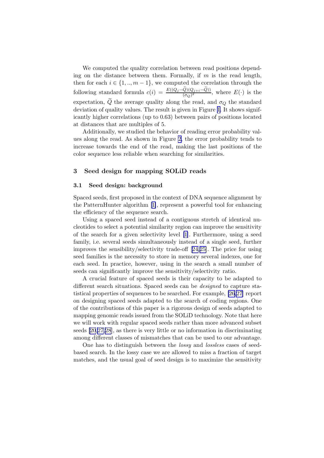<span id="page-4-0"></span>We computed the quality correlation between read positions depending on the distance between them. Formally, if  $m$  is the read length, then for each  $i \in \{1, ..., m-1\}$ , we computed the correlation through the following standard formula  $c(i) = \frac{E((\tilde{Q}_j - \tilde{Q})(Q_{j+i}-\tilde{Q}))}{(\sigma_Q)^2}$ , where  $E(\cdot)$  is the expectation,  $\ddot{Q}$  the average quality along the read, and  $\sigma_Q$  the standard deviation of quality values. The result is given in Figure [1](#page-3-0). It shows significantly higher correlations (up to 0.63) between pairs of positions located at distances that are multiples of 5.

Additionally, we studied the behavior of reading error probability values along the read. As shown in Figure [2,](#page-3-0) the error probability tends to increase towards the end of the read, making the last positions of the color sequence less reliable when searching for similarities.

#### 3 Seed design for mapping SOLiD reads

#### 3.1 Seed design: background

Spaced seeds, first proposed in the context of DNA sequence alignment by the PatternHunter algorithm [\[1\]](#page-14-0), represent a powerful tool for enhancing the efficiency of the sequence search.

Using a spaced seed instead of a contiguous stretch of identical nucleotides to select a potential similarity region can improve the sensitivity of the search for a given selectivity level [\[1\]](#page-14-0). Furthermore, using a seed family, i.e. several seeds simultaneously instead of a single seed, further improves the sensibility/selectivity trade-off[[24,25\]](#page-15-0). The price for using seed families is the necessity to store in memory several indexes, one for each seed. In practice, however, using in the search a small number of seeds can significantly improve the sensitivity/selectivity ratio.

A crucial feature of spaced seeds is their capacity to be adapted to different search situations. Spaced seeds can be designed to capture statistical properties of sequences to be searched. For example, [\[26,27](#page-15-0)] report on designing spaced seeds adapted to the search of coding regions. One of the contributions of this paper is a rigorous design of seeds adapted to mapping genomic reads issued from the SOLiD technology. Note that here we will work with regular spaced seeds rather than more advanced subset seeds [\[20,27,28](#page-15-0)], as there is very little or no information in discriminating among different classes of mismatches that can be used to our advantage.

One has to distinguish between the lossy and lossless cases of seedbased search. In the lossy case we are allowed to miss a fraction of target matches, and the usual goal of seed design is to maximize the sensitivity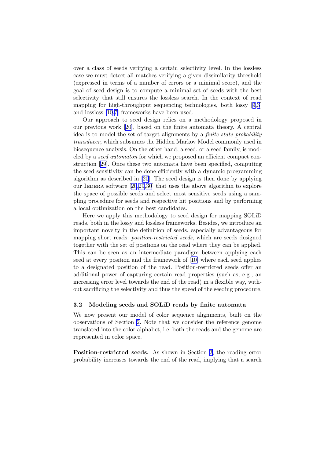over a class of seeds verifying a certain selectivity level. In the lossless case we must detect all matches verifying a given dissimilarity threshold (expressed in terms of a number of errors or a minimal score), and the goal of seed design is to compute a minimal set of seeds with the best selectivity that still ensures the lossless search. In the context of read mapping for high-throughput sequencing technologies, both lossy[[9,3](#page-14-0)] and lossless [\[10,7\]](#page-14-0) frameworks have been used.

Our approach to seed design relies on a methodology proposed in our previous work [\[20](#page-15-0)], based on the finite automata theory. A central idea is to model the set of target alignments by a *finite-state probability* transducer, which subsumes the Hidden Markov Model commonly used in biosequence analysis. On the other hand, a seed, or a seed family, is modeled by a seed automaton for which we proposed an efficient compact construction [\[29](#page-15-0)]. Once these two automata have been specified, computing the seed sensitivity can be done efficiently with a dynamic programming algorithm as described in [\[20\]](#page-15-0). The seed design is then done by applying ourIEDERA software  $[20,29,30]$  $[20,29,30]$  $[20,29,30]$  $[20,29,30]$  $[20,29,30]$  that uses the above algorithm to explore the space of possible seeds and select most sensitive seeds using a sampling procedure for seeds and respective hit positions and by performing a local optimization on the best candidates.

Here we apply this methodology to seed design for mapping SOLiD reads, both in the lossy and lossless frameworks. Besides, we introduce an important novelty in the definition of seeds, especially advantageous for mapping short reads: *position-restricted seeds*, which are seeds designed together with the set of positions on the read where they can be applied. This can be seen as an intermediate paradigm between applying each seed at every position and the framework of[[10\]](#page-14-0) where each seed applies to a designated position of the read. Position-restricted seeds offer an additional power of capturing certain read properties (such as, e.g., an increasing error level towards the end of the read) in a flexible way, without sacrificing the selectivity and thus the speed of the seeding procedure.

#### 3.2 Modeling seeds and SOLiD reads by finite automata

We now present our model of color sequence alignments, built on the observations of Section [2.](#page-3-0) Note that we consider the reference genome translated into the color alphabet, i.e. both the reads and the genome are represented in color space.

Position-restricted seeds. As shown in Section [2,](#page-3-0) the reading error probability increases towards the end of the read, implying that a search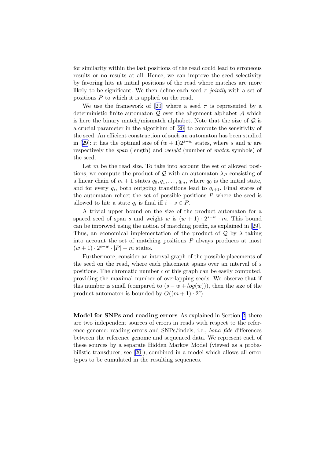for similarity within the last positions of the read could lead to erroneous results or no results at all. Hence, we can improve the seed selectivity by favoring hits at initial positions of the read where matches are more likely to be significant. We then define each seed  $\pi$  jointly with a set of positions P to which it is applied on the read.

Weuse the framework of [[20](#page-15-0)] where a seed  $\pi$  is represented by a deterministic finite automaton  $Q$  over the alignment alphabet  $A$  which is here the binary match/mismatch alphabet. Note that the size of  $Q$  is a crucial parameter in the algorithm of[[20\]](#page-15-0) to compute the sensitivity of the seed. An efficient construction of such an automaton has been studied in[[29\]](#page-15-0): it has the optimal size of  $(w + 1)2^{s-w}$  states, where s and w are respectively the *span* (length) and *weight* (number of *match* symbols) of the seed.

Let  $m$  be the read size. To take into account the set of allowed positions, we compute the product of Q with an automaton  $\lambda_P$  consisting of a linear chain of  $m + 1$  states  $q_0, q_1, \ldots, q_m$ , where  $q_0$  is the initial state, and for every  $q_i$ , both outgoing transitions lead to  $q_{i+1}$ . Final states of the automaton reflect the set of possible positions  $P$  where the seed is allowed to hit: a state  $q_i$  is final iff  $i - s \in P$ .

A trivial upper bound on the size of the product automaton for a spaced seed of span s and weight w is  $(w + 1) \cdot 2^{s-w} \cdot m$ . This bound can be improved using the notion of matching prefix, as explained in[[29](#page-15-0)]. Thus, an economical implementation of the product of  $\mathcal Q$  by  $\lambda$  taking into account the set of matching positions  $P$  always produces at most  $(w + 1) \cdot 2^{s-w} \cdot |P| + m$  states.

Furthermore, consider an interval graph of the possible placements of the seed on the read, where each placement spans over an interval of s positions. The chromatic number c of this graph can be easily computed, providing the maximal number of overlapping seeds. We observe that if this number is small (compared to  $(s - w + log(w))$ ), then the size of the product automaton is bounded by  $O((m+1) \cdot 2^c)$ .

Model for SNPs and reading errors As explained in Section [2](#page-3-0), there are two independent sources of errors in reads with respect to the reference genome: reading errors and SNPs/indels, i.e., bona fide differences between the reference genome and sequenced data. We represent each of these sources by a separate Hidden Markov Model (viewed as a probabilistic transducer, see[[20](#page-15-0)]), combined in a model which allows all error types to be cumulated in the resulting sequences.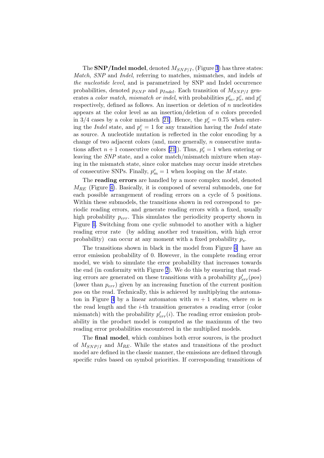The SNP/Indel model, denoted  $M_{SNP/I}$ , (Figure [3](#page-8-0)) has three states: Match, SNP and Indel, referring to matches, mismatches, and indels at the nucleotide level, and is parametrized by SNP and Indel occurrence probabilities, denoted  $p_{SNP}$  and  $p_{Indel}$ . Each transition of  $M_{SNP/I}$  generates a *color match, mismatch or indel*, with probabilities  $p_m^c$ ,  $p_e^c$ , and  $p_i^c$ respectively, defined as follows. An insertion or deletion of  $n$  nucleotides appears at the color level as an insertion/deletion of  $n$  colors preceded in 3/4 cases by a color mismatch [\[21\]](#page-15-0). Hence, the  $p_e^c = 0.75$  when entering the *Indel* state, and  $p_i^c = 1$  for any transition having the *Indel* state as source. A nucleotide mutation is reflected in the color encoding by a change of two adjacent colors (and, more generally,  $n$  consecutive mutations affect  $n+1$  consecutive colors [\[21](#page-15-0)]). Thus,  $p_e^c = 1$  when entering or leaving the SNP state, and a color match/mismatch mixture when staying in the mismatch state, since color matches may occur inside stretches of consecutive SNPs. Finally,  $p_m^c = 1$  when looping on the M state.

The reading errors are handled by a more complex model, denoted  $M_{RE}$  (Figure [4\)](#page-8-0). Basically, it is composed of several submodels, one for each possible arrangement of reading errors on a cycle of 5 positions. Within these submodels, the transitions shown in red correspond to periodic reading errors, and generate reading errors with a fixed, usually high probability  $p_{err}$ . This simulates the periodicity property shown in Figure [1](#page-3-0). Switching from one cyclic submodel to another with a higher reading error rate (by adding another red transition, with high error probability) can occur at any moment with a fixed probability  $p_s$ .

The transitions shown in black in the model from Figure [4](#page-8-0) have an error emission probability of 0. However, in the complete reading error model, we wish to simulate the error probability that increases towards the end (in conformity with Figure [2](#page-3-0)). We do this by ensuring that reading errors are generated on these transitions with a probability  $p'_{err}(pos)$ (lower than  $p_{err}$ ) given by an increasing function of the current position pos on the read. Technically, this is achieved by multiplying the automa-ton in Figure [4](#page-8-0) by a linear automaton with  $m + 1$  states, where m is the read length and the i-th transition generates a reading error (color mismatch) with the probability  $p'_{err}(i)$ . The reading error emission probability in the product model is computed as the maximum of the two reading error probabilities encountered in the multiplied models.

The final model, which combines both error sources, is the product of  $M_{SNP/I}$  and  $M_{RE}$ . While the states and transitions of the product model are defined in the classic manner, the emissions are defined through specific rules based on symbol priorities. If corresponding transitions of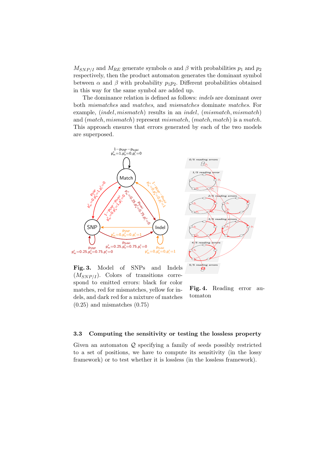<span id="page-8-0"></span> $M_{SNP/I}$  and  $M_{RE}$  generate symbols  $\alpha$  and  $\beta$  with probabilities  $p_1$  and  $p_2$ respectively, then the product automaton generates the dominant symbol between  $\alpha$  and  $\beta$  with probability  $p_1p_2$ . Different probabilities obtained in this way for the same symbol are added up.

The dominance relation is defined as follows: indels are dominant over both mismatches and matches, and mismatches dominate matches. For example, *(indel, mismatch)* results in an *indel, (mismatch, mismatch)* and (match, mismatch) represent mismatch, (match, match) is a match. This approach ensures that errors generated by each of the two models are superposed.



Fig. 3. Model of SNPs and Indels  $(M_{SNP/I})$ . Colors of transitions correspond to emitted errors: black for color matches, red for mismatches, yellow for indels, and dark red for a mixture of matches  $(0.25)$  and mismatches  $(0.75)$ 

Fig. 4. Reading error automaton

#### 3.3 Computing the sensitivity or testing the lossless property

Given an automaton Q specifying a family of seeds possibly restricted to a set of positions, we have to compute its sensitivity (in the lossy framework) or to test whether it is lossless (in the lossless framework).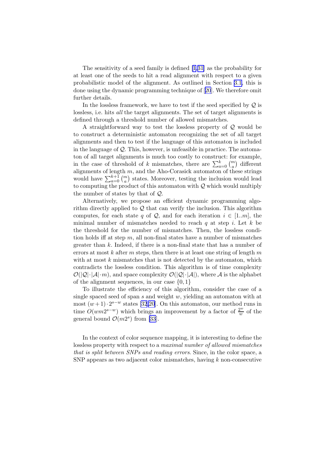The sensitivity of a seed family is defined [\[1,](#page-14-0)[31\]](#page-15-0) as the probability for at least one of the seeds to hit a read alignment with respect to a given probabilistic model of the alignment. As outlined in Section [3.1,](#page-4-0) this is done using the dynamic programming technique of[[20](#page-15-0)]. We therefore omit further details.

In the lossless framework, we have to test if the seed specified by  $\mathcal{Q}$  is lossless, i.e. hits all the target alignments. The set of target alignments is defined through a threshold number of allowed mismatches.

A straightforward way to test the lossless property of  $Q$  would be to construct a deterministic automaton recognizing the set of all target alignments and then to test if the language of this automaton is included in the language of  $\mathcal{Q}$ . This, however, is unfeasible in practice. The automaton of all target alignments is much too costly to construct: for example, in the case of threshold of k mismatches, there are  $\sum_{a=0}^{k} \binom{m}{a}$  different alignments of length  $m$ , and the Aho-Corasick automaton of these strings would have  $\sum_{a=0}^{k+1} \binom{m}{a}$  states. Moreover, testing the inclusion would lead to computing the product of this automaton with  $Q$  which would multiply the number of states by that of Q.

Alternatively, we propose an efficient dynamic programming algorithm directly applied to  $Q$  that can verify the inclusion. This algorithm computes, for each state q of  $\mathcal{Q}$ , and for each iteration  $i \in [1..m]$ , the minimal number of mismatches needed to reach  $q$  at step i. Let  $k$  be the threshold for the number of mismatches. Then, the lossless condition holds iff at step  $m$ , all non-final states have a number of mismatches greater than k. Indeed, if there is a non-final state that has a number of errors at most  $k$  after  $m$  steps, then there is at least one string of length  $m$ with at most  $k$  mismatches that is not detected by the automaton, which contradicts the lossless condition. This algorithm is of time complexity  $\mathcal{O}(|\mathcal{Q}|\cdot|\mathcal{A}|\cdot m)$ , and space complexity  $\mathcal{O}(|\mathcal{Q}|\cdot|\mathcal{A}|)$ , where A is the alphabet of the alignment sequences, in our case  $\{0, 1\}$ 

To illustrate the efficiency of this algorithm, consider the case of a single spaced seed of span  $s$  and weight  $w$ , yielding an automaton with at most  $(w+1) \tcdot 2^{s-w}$  states [\[32,20](#page-15-0)]. On this automaton, our method runs in time  $O(wm2^{s-w})$  which brings an improvement by a factor of  $\frac{2^w}{w}$  $\frac{2^w}{w}$  of the general bound  $\mathcal{O}(m2^s)$  from [\[33](#page-15-0)].

In the context of color sequence mapping, it is interesting to define the lossless property with respect to a maximal number of allowed mismatches that is split between SNPs and reading errors. Since, in the color space, a SNP appears as two adjacent color mismatches, having  $k$  non-consecutive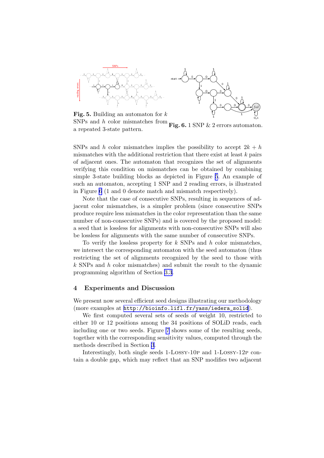



Fig. 5. Building an automaton for  $k$ SNPs and h color mismatches from  $\frac{1}{2}$  and *n* color inismatches from Fig. 6. 1 SNP & 2 errors automaton.

SNPs and h color mismatches implies the possibility to accept  $2k + h$ mismatches with the additional restriction that there exist at least  $k$  pairs of adjacent ones. The automaton that recognizes the set of alignments verifying this condition on mismatches can be obtained by combining simple 3-state building blocks as depicted in Figure 5. An example of such an automaton, accepting 1 SNP and 2 reading errors, is illustrated in Figure 6 (1 and 0 denote match and mismatch respectively).

Note that the case of consecutive SNPs, resulting in sequences of adjacent color mismatches, is a simpler problem (since consecutive SNPs produce require less mismatches in the color representation than the same number of non-consecutive SNPs) and is covered by the proposed model: a seed that is lossless for alignments with non-consecutive SNPs will also be lossless for alignments with the same number of consecutive SNPs.

To verify the lossless property for  $k$  SNPs and  $h$  color mismatches, we intersect the corresponding automaton with the seed automaton (thus restricting the set of alignments recognized by the seed to those with k SNPs and h color mismatches) and submit the result to the dynamic programming algorithm of Section [3.3](#page-8-0).

#### 4 Experiments and Discussion

We present now several efficient seed designs illustrating our methodology (more examples at [http://bioinfo.lifl.fr/yass/iedera\\_solid](http://bioinfo.lifl.fr/yass/iedera_solid)).

We first computed several sets of seeds of weight 10, restricted to either 10 or 12 positions among the 34 positions of SOLiD reads, each including one or two seeds. Figure [7](#page-11-0) shows some of the resulting seeds, together with the corresponding sensitivity values, computed through the methods described in Section [3](#page-4-0).

Interestingly, both single seeds 1-Lossy-10p and 1-Lossy-12p contain a double gap, which may reflect that an SNP modifies two adjacent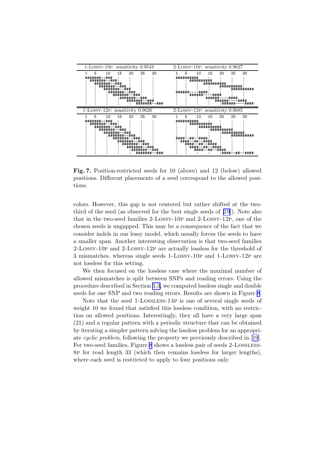<span id="page-11-0"></span>

Fig. 7. Position-restricted seeds for 10 (above) and 12 (below) allowed positions. Different placements of a seed correspond to the allowed positions.

colors. However, this gap is not centered but rather shifted at the twothird of the seed (as observed for the best single seeds of [\[19](#page-15-0)]). Note also that in the two-seed families 2-Lossy-10p and 2-Lossy-12p, one of the chosen seeds is ungapped. This may be a consequence of the fact that we consider indels in our lossy model, which usually forces the seeds to have a smaller span. Another interesting observation is that two-seed families 2-Lossy-10p and 2-Lossy-12p are actually lossless for the threshold of 3 mismatches, whereas single seeds 1-Lossy-10p and 1-Lossy-12p are not lossless for this setting.

We then focused on the lossless case where the maximal number of allowed mismatches is split between SNPs and reading errors. Using the procedure described in Section [3.3,](#page-8-0) we computed lossless single and double seeds for one SNP and two reading errors. Results are shown in Figure [8](#page-12-0).

Note that the seed 1-Lossless-14p is one of several single seeds of weight 10 we found that satisfied this lossless condition, with no restriction on allowed positions. Interestingly, they all have a very large span (21) and a regular pattern with a periodic structure that can be obtained by iterating a simpler pattern solving the lossless problem for an appropriate cyclic problem, following the property we previously described in[[19](#page-15-0)]. For two-seed families, Figure [8](#page-12-0) shows a lossless pair of seeds 2-Lossless-8p for read length 33 (which then remains lossless for larger lengths), where each seed is restricted to apply to four positions only.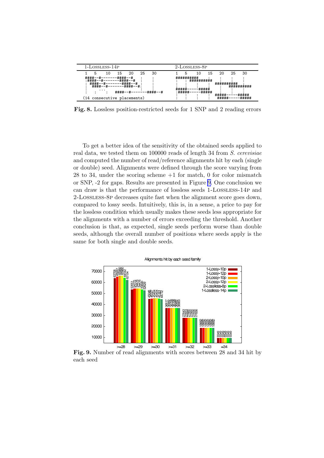<span id="page-12-0"></span>

| 1-LOSSLESS-14P                                                                                                                                     |          |                                                                                    |    |          |                                      | 2-LOSSLESS-8P                                                                 |                                              |             |                                                                   |                                      |                                                                                                                              |  |
|----------------------------------------------------------------------------------------------------------------------------------------------------|----------|------------------------------------------------------------------------------------|----|----------|--------------------------------------|-------------------------------------------------------------------------------|----------------------------------------------|-------------|-------------------------------------------------------------------|--------------------------------------|------------------------------------------------------------------------------------------------------------------------------|--|
| 5                                                                                                                                                  | 15<br>10 | 20                                                                                 | 25 | 30       |                                      | 5                                                                             | 10                                           | 15          | 20                                                                | 25                                   | 30                                                                                                                           |  |
| <b>####__</b><br>****<br>. *****<br>$\ddot{H} \ddot{H} \ddot{H} + \ldots + \ddot{H}$<br>****<br>####--#<br>$\cdots$<br>(14 consecutive placements) |          | ·####--#<br><del>###</del> +__#<br>****<br>####--#<br>*****<br>####--#:<br>####--# |    | ·####--# | *****<br><del>,  ,,  ,,  ,,  ,</del> | **********<br><del>,,,,,,,,,,,,,</del><br><del>####</del><br>. <del>.</del> . | <del>#########</del><br>***********<br>##### | <b>####</b> | <del>**********</del><br>#####<br><del>.</del><br><del>####</del> | <del>,, ,, ,, ,, ,, ,, ,, ,, ,</del> | <del>####</del> ######<br><del>.</del> .<br>,, ,, ,, ,, ,<br><del>,  ,,  ,,  ,,</del><br><del>*****</del><br><del>####</del> |  |

Fig. 8. Lossless position-restricted seeds for 1 SNP and 2 reading errors

To get a better idea of the sensitivity of the obtained seeds applied to real data, we tested them on 100000 reads of length 34 from S. cerevisiae and computed the number of read/reference alignments hit by each (single or double) seed. Alignments were defined through the score varying from 28 to 34, under the scoring scheme +1 for match, 0 for color mismatch or SNP, -2 for gaps. Results are presented in Figure 9. One conclusion we can draw is that the performance of lossless seeds 1-Lossless-14p and 2-Lossless-8p decreases quite fast when the alignment score goes down, compared to lossy seeds. Intuitively, this is, in a sense, a price to pay for the lossless condition which usually makes these seeds less appropriate for the alignments with a number of errors exceeding the threshold. Another conclusion is that, as expected, single seeds perform worse than double seeds, although the overall number of positions where seeds apply is the same for both single and double seeds.



Fig. 9. Number of read alignments with scores between 28 and 34 hit by each seed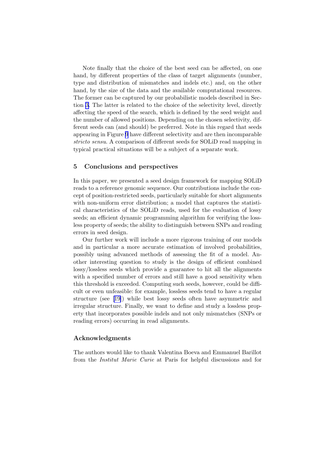Note finally that the choice of the best seed can be affected, on one hand, by different properties of the class of target alignments (number, type and distribution of mismatches and indels etc.) and, on the other hand, by the size of the data and the available computational resources. The former can be captured by our probabilistic models described in Section [3.](#page-4-0) The latter is related to the choice of the selectivity level, directly affecting the speed of the search, which is defined by the seed weight and the number of allowed positions. Depending on the chosen selectivity, different seeds can (and should) be preferred. Note in this regard that seeds appearing in Figure [9](#page-12-0) have different selectivity and are then incomparable stricto sensu. A comparison of different seeds for SOLiD read mapping in typical practical situations will be a subject of a separate work.

#### 5 Conclusions and perspectives

In this paper, we presented a seed design framework for mapping SOLiD reads to a reference genomic sequence. Our contributions include the concept of position-restricted seeds, particularly suitable for short alignments with non-uniform error distribution; a model that captures the statistical characteristics of the SOLiD reads, used for the evaluation of lossy seeds; an efficient dynamic programming algorithm for verifying the lossless property of seeds; the ability to distinguish between SNPs and reading errors in seed design.

Our further work will include a more rigorous training of our models and in particular a more accurate estimation of involved probabilities, possibly using advanced methods of assessing the fit of a model. Another interesting question to study is the design of efficient combined lossy/lossless seeds which provide a guarantee to hit all the alignments with a specified number of errors and still have a good sensitivity when this threshold is exceeded. Computing such seeds, however, could be difficult or even unfeasible: for example, lossless seeds tend to have a regular structure (see[[19\]](#page-15-0)) while best lossy seeds often have asymmetric and irregular structure. Finally, we want to define and study a lossless property that incorporates possible indels and not only mismatches (SNPs or reading errors) occurring in read alignments.

#### Acknowledgments

The authors would like to thank Valentina Boeva and Emmanuel Barillot from the Institut Marie Curie at Paris for helpful discussions and for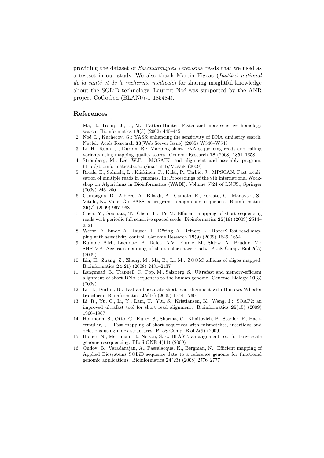<span id="page-14-0"></span>providing the dataset of Saccharomyces cerevisiae reads that we used as a testset in our study. We also thank Martin Figeac (Institut national de la santé et de la recherche médicale) for sharing insightful knowledge about the SOLiD technology. Laurent Noé was supported by the ANR project CoCoGen (BLAN07-1 185484).

#### References

- 1. Ma, B., Tromp, J., Li, M.: PatternHunter: Faster and more sensitive homology search. Bioinformatics 18(3) (2002) 440–445
- 2. Noé, L., Kucherov, G.: YASS: enhancing the sensitivity of DNA similarity search. Nucleic Acids Research 33(Web Server Issue) (2005) W540–W543
- 3. Li, H., Ruan, J., Durbin, R.: Mapping short DNA sequencing reads and calling variants using mapping quality scores. Genome Research 18 (2008) 1851–1858
- 4. Strömberg, M., Lee, W.P.: MOSAIK read alignment and assembly program. http://bioinformatics.bc.edu/marthlab/Mosaik (2009)
- 5. Rivals, E., Salmela, L., Kiiskinen, P., Kalsi, P., Tarhio, J.: MPSCAN: Fast localisation of multiple reads in genomes. In: Proceedings of the 9th international Workshop on Algorithms in Bioinformatics (WABI). Volume 5724 of LNCS., Springer (2009) 246–260
- 6. Campagna, D., Albiero, A., Bilardi, A., Caniato, E., Forcato, C., Manavski, S., Vitulo, N., Valle, G.: PASS: a program to align short sequences. Bioinformatics 25(7) (2009) 967–968
- 7. Chen, Y., Souaiaia, T., Chen, T.: PerM: Efficient mapping of short sequencing reads with periodic full sensitive spaced seeds. Bioinformatics 25(19) (2009) 2514– 2521
- 8. Weese, D., Emde, A., Rausch, T., Döring, A., Reinert, K.: RazerS-fast read mapping with sensitivity control. Genome Research 19(9) (2009) 1646–1654
- 9. Rumble, S.M., Lacroute, P., Dalca, A.V., Fiume, M., Sidow, A., Brudno, M.: SHRiMP: Accurate mapping of short color-space reads. PLoS Comp. Biol 5(5) (2009)
- 10. Lin, H., Zhang, Z., Zhang, M., Ma, B., Li, M.: ZOOM! zillions of oligos mapped. Bioinformatics 24(21) (2008) 2431–2437
- 11. Langmead, B., Trapnell, C., Pop, M., Salzberg, S.: Ultrafast and memory-efficient alignment of short DNA sequences to the human genome. Genome Biology  $10(3)$ (2009)
- 12. Li, H., Durbin, R.: Fast and accurate short read alignment with Burrows-Wheeler transform. Bioinformatics 25(14) (2009) 1754–1760
- 13. Li, R., Yu, C., Li, Y., Lam, T., Yiu, S., Kristiansen, K., Wang, J.: SOAP2: an improved ultrafast tool for short read alignment. Bioinformatics 25(15) (2009) 1966–1967
- 14. Hoffmann, S., Otto, C., Kurtz, S., Sharma, C., Khaitovich, P., Stadler, P., Hackermuller, J.: Fast mapping of short sequences with mismatches, insertions and deletions using index structures. PLoS Comp. Biol 5(9) (2009)
- 15. Homer, N., Merriman, B., Nelson, S.F.: BFAST: an alignment tool for large scale genome resequencing. PLoS ONE 4(11) (2009)
- 16. Ondov, B., Varadarajan, A., Passalacqua, K., Bergman, N.: Efficient mapping of Applied Biosystems SOLiD sequence data to a reference genome for functional genomic applications. Bioinformatics 24(23) (2008) 2776–2777